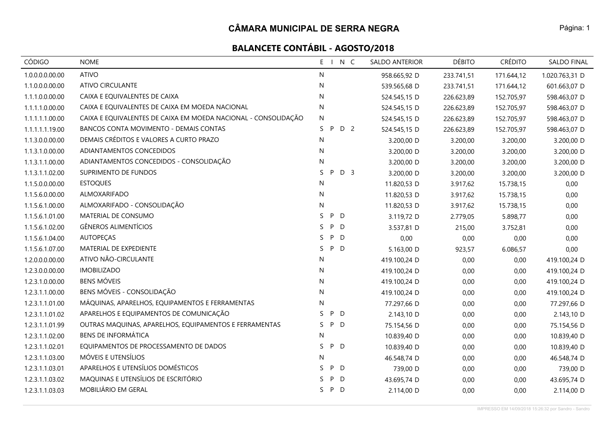# **BALANCETE CONTÁBIL - AGOSTO/2018**

| CÓDIGO          | <b>NOME</b>                                                    | E I N C                   | SALDO ANTERIOR | <b>DÉBITO</b> | <b>CRÉDITO</b> | SALDO FINAL    |
|-----------------|----------------------------------------------------------------|---------------------------|----------------|---------------|----------------|----------------|
| 1.0.0.0.0.00.00 | <b>ATIVO</b>                                                   | N                         | 958.665,92 D   | 233.741,51    | 171.644,12     | 1.020.763,31 D |
| 1.1.0.0.0.00.00 | ATIVO CIRCULANTE                                               | N                         | 539.565,68 D   | 233.741,51    | 171.644,12     | 601.663,07 D   |
| 1.1.1.0.0.00.00 | CAIXA E EQUIVALENTES DE CAIXA                                  | N                         | 524.545,15 D   | 226.623,89    | 152.705,97     | 598.463,07 D   |
| 1.1.1.1.0.00.00 | CAIXA E EQUIVALENTES DE CAIXA EM MOEDA NACIONAL                | N                         | 524.545,15 D   | 226.623,89    | 152.705,97     | 598.463,07 D   |
| 1.1.1.1.1.00.00 | CAIXA E EQUIVALENTES DE CAIXA EM MOEDA NACIONAL - CONSOLIDAÇÃO | ${\sf N}$                 | 524.545,15 D   | 226.623,89    | 152.705,97     | 598.463,07 D   |
| 1.1.1.1.1.19.00 | BANCOS CONTA MOVIMENTO - DEMAIS CONTAS                         | D 2<br>S.<br>P            | 524.545,15 D   | 226.623,89    | 152.705,97     | 598.463,07 D   |
| 1.1.3.0.0.00.00 | DEMAIS CRÉDITOS E VALORES A CURTO PRAZO                        | N                         | 3.200,00 D     | 3.200,00      | 3.200,00       | 3.200,00 D     |
| 1.1.3.1.0.00.00 | ADIANTAMENTOS CONCEDIDOS                                       | N                         | 3.200,00 D     | 3.200,00      | 3.200,00       | 3.200,00 D     |
| 1.1.3.1.1.00.00 | ADIANTAMENTOS CONCEDIDOS - CONSOLIDAÇÃO                        | N                         | 3.200,00 D     | 3.200,00      | 3.200,00       | 3.200,00 D     |
| 1.1.3.1.1.02.00 | SUPRIMENTO DE FUNDOS                                           | D <sub>3</sub><br>S.<br>P | 3.200,00 D     | 3.200,00      | 3.200,00       | 3.200,00 D     |
| 1.1.5.0.0.00.00 | <b>ESTOQUES</b>                                                | N                         | 11.820,53 D    | 3.917,62      | 15.738,15      | 0,00           |
| 1.1.5.6.0.00.00 | ALMOXARIFADO                                                   | N                         | 11.820,53 D    | 3.917,62      | 15.738,15      | 0,00           |
| 1.1.5.6.1.00.00 | ALMOXARIFADO - CONSOLIDAÇÃO                                    | N                         | 11.820,53 D    | 3.917,62      | 15.738,15      | 0,00           |
| 1.1.5.6.1.01.00 | MATERIAL DE CONSUMO                                            | S.<br>P D                 | 3.119,72 D     | 2.779,05      | 5.898,77       | 0,00           |
| 1.1.5.6.1.02.00 | <b>GÊNEROS ALIMENTÍCIOS</b>                                    | S<br>P<br>D               | 3.537,81 D     | 215,00        | 3.752,81       | 0,00           |
| 1.1.5.6.1.04.00 | <b>AUTOPEÇAS</b>                                               | P<br>S.<br>D              | 0,00           | 0,00          | 0,00           | 0,00           |
| 1.1.5.6.1.07.00 | MATERIAL DE EXPEDIENTE                                         | S.<br>P D                 | 5.163,00 D     | 923,57        | 6.086,57       | 0,00           |
| 1.2.0.0.0.00.00 | ATIVO NÃO-CIRCULANTE                                           | N                         | 419.100,24 D   | 0,00          | 0,00           | 419.100,24 D   |
| 1.2.3.0.0.00.00 | <b>IMOBILIZADO</b>                                             | N                         | 419.100,24 D   | 0,00          | 0,00           | 419.100,24 D   |
| 1.2.3.1.0.00.00 | <b>BENS MÓVEIS</b>                                             | N                         | 419.100,24 D   | 0,00          | 0,00           | 419.100,24 D   |
| 1.2.3.1.1.00.00 | BENS MÓVEIS - CONSOLIDAÇÃO                                     | N                         | 419.100,24 D   | 0,00          | 0,00           | 419.100,24 D   |
| 1.2.3.1.1.01.00 | MÁQUINAS, APARELHOS, EQUIPAMENTOS E FERRAMENTAS                | N                         | 77.297,66 D    | 0,00          | 0,00           | 77.297,66 D    |
| 1.2.3.1.1.01.02 | APARELHOS E EQUIPAMENTOS DE COMUNICAÇÃO                        | P.<br>D<br>S.             | 2.143,10 D     | 0,00          | 0,00           | 2.143,10 D     |
| 1.2.3.1.1.01.99 | OUTRAS MAQUINAS, APARELHOS, EQUIPAMENTOS E FERRAMENTAS         | P D<br>S.                 | 75.154,56 D    | 0,00          | 0,00           | 75.154,56 D    |
| 1.2.3.1.1.02.00 | <b>BENS DE INFORMÁTICA</b>                                     | N                         | 10.839,40 D    | 0,00          | 0,00           | 10.839,40 D    |
| 1.2.3.1.1.02.01 | EQUIPAMENTOS DE PROCESSAMENTO DE DADOS                         | S<br>P D                  | 10.839,40 D    | 0,00          | 0,00           | 10.839,40 D    |
| 1.2.3.1.1.03.00 | MÓVEIS E UTENSÍLIOS                                            | N                         | 46.548,74 D    | 0,00          | 0,00           | 46.548,74 D    |
| 1.2.3.1.1.03.01 | APARELHOS E UTENSÍLIOS DOMÉSTICOS                              | P<br>S.<br>D              | 739,00 D       | 0,00          | 0,00           | 739,00 D       |
| 1.2.3.1.1.03.02 | MAQUINAS E UTENSÍLIOS DE ESCRITÓRIO                            | P<br>D<br>S.              | 43.695,74 D    | 0,00          | 0,00           | 43.695,74 D    |
| 1.2.3.1.1.03.03 | MOBILIÁRIO EM GERAL                                            | S.<br>P D                 | 2.114,00 D     | 0,00          | 0,00           | 2.114,00 D     |

Página: 1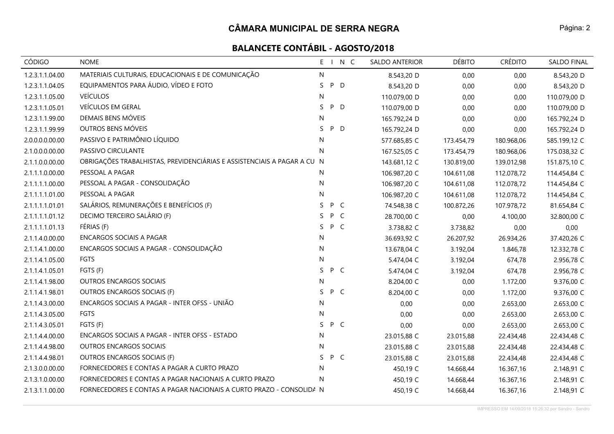| CÓDIGO          | <b>NOME</b>                                                             | E<br>$\blacksquare$ |     | N C | SALDO ANTERIOR | <b>DÉBITO</b> | <b>CRÉDITO</b> | <b>SALDO FINAL</b> |
|-----------------|-------------------------------------------------------------------------|---------------------|-----|-----|----------------|---------------|----------------|--------------------|
| 1.2.3.1.1.04.00 | MATERIAIS CULTURAIS, EDUCACIONAIS E DE COMUNICAÇÃO                      | N                   |     |     | 8.543,20 D     | 0,00          | 0,00           | 8.543,20 D         |
| 1.2.3.1.1.04.05 | EQUIPAMENTOS PARA ÁUDIO, VÍDEO E FOTO                                   | S                   | P   | D   | 8.543,20 D     | 0,00          | 0,00           | 8.543,20 D         |
| 1.2.3.1.1.05.00 | <b>VEÍCULOS</b>                                                         | N                   |     |     | 110.079,00 D   | 0,00          | 0,00           | 110.079,00 D       |
| 1.2.3.1.1.05.01 | VEÍCULOS EM GERAL                                                       | S                   | P   | D   | 110.079,00 D   | 0,00          | 0,00           | 110.079,00 D       |
| 1.2.3.1.1.99.00 | DEMAIS BENS MÓVEIS                                                      | N                   |     |     | 165.792,24 D   | 0,00          | 0,00           | 165.792,24 D       |
| 1.2.3.1.1.99.99 | OUTROS BENS MÓVEIS                                                      | S                   | P D |     | 165.792,24 D   | 0,00          | 0,00           | 165.792,24 D       |
| 2.0.0.0.0.00.00 | PASSIVO E PATRIMÔNIO LÍQUIDO                                            | N                   |     |     | 577.685,85 C   | 173.454,79    | 180.968,06     | 585.199,12 C       |
| 2.1.0.0.0.00.00 | PASSIVO CIRCULANTE                                                      | N                   |     |     | 167.525,05 C   | 173.454,79    | 180.968,06     | 175.038,32 C       |
| 2.1.1.0.0.00.00 | OBRIGAÇÕES TRABALHISTAS, PREVIDENCIÁRIAS E ASSISTENCIAIS A PAGAR A CU N |                     |     |     | 143.681,12 C   | 130.819,00    | 139.012,98     | 151.875,10 C       |
| 2.1.1.1.0.00.00 | PESSOAL A PAGAR                                                         | N                   |     |     | 106.987,20 C   | 104.611,08    | 112.078,72     | 114.454,84 C       |
| 2.1.1.1.1.00.00 | PESSOAL A PAGAR - CONSOLIDAÇÃO                                          | N                   |     |     | 106.987,20 C   | 104.611,08    | 112.078,72     | 114.454,84 C       |
| 2.1.1.1.1.01.00 | PESSOAL A PAGAR                                                         | N                   |     |     | 106.987,20 C   | 104.611,08    | 112.078,72     | 114.454,84 C       |
| 2.1.1.1.1.01.01 | SALÁRIOS, REMUNERAÇÕES E BENEFÍCIOS (F)                                 | S.                  | P C |     | 74.548,38 C    | 100.872,26    | 107.978,72     | 81.654,84 C        |
| 2.1.1.1.1.01.12 | DECIMO TERCEIRO SALÁRIO (F)                                             | S.                  | P C |     | 28.700,00 C    | 0,00          | 4.100,00       | 32.800,00 C        |
| 2.1.1.1.1.01.13 | FÉRIAS (F)                                                              | S                   | P C |     | 3.738,82 C     | 3.738,82      | 0,00           | 0,00               |
| 2.1.1.4.0.00.00 | <b>ENCARGOS SOCIAIS A PAGAR</b>                                         | N                   |     |     | 36.693,92 C    | 26.207,92     | 26.934,26      | 37.420,26 C        |
| 2.1.1.4.1.00.00 | ENCARGOS SOCIAIS A PAGAR - CONSOLIDAÇÃO                                 | N                   |     |     | 13.678,04 C    | 3.192,04      | 1.846,78       | 12.332,78 C        |
| 2.1.1.4.1.05.00 | <b>FGTS</b>                                                             | N                   |     |     | 5.474,04 C     | 3.192,04      | 674,78         | 2.956,78 C         |
| 2.1.1.4.1.05.01 | FGTS (F)                                                                | S.                  | P C |     | 5.474,04 C     | 3.192,04      | 674,78         | 2.956,78 C         |
| 2.1.1.4.1.98.00 | OUTROS ENCARGOS SOCIAIS                                                 | N                   |     |     | 8.204,00 C     | 0,00          | 1.172,00       | 9.376,00 C         |
| 2.1.1.4.1.98.01 | OUTROS ENCARGOS SOCIAIS (F)                                             | S.                  | P C |     | 8.204,00 C     | 0,00          | 1.172,00       | 9.376,00 C         |
| 2.1.1.4.3.00.00 | ENCARGOS SOCIAIS A PAGAR - INTER OFSS - UNIÃO                           | N                   |     |     | 0,00           | 0,00          | 2.653,00       | 2.653,00 C         |
| 2.1.1.4.3.05.00 | <b>FGTS</b>                                                             | N                   |     |     | 0,00           | 0,00          | 2.653,00       | 2.653,00 C         |
| 2.1.1.4.3.05.01 | FGTS (F)                                                                | S.                  | P C |     | 0,00           | 0,00          | 2.653,00       | 2.653,00 C         |
| 2.1.1.4.4.00.00 | ENCARGOS SOCIAIS A PAGAR - INTER OFSS - ESTADO                          | N                   |     |     | 23.015,88 C    | 23.015,88     | 22.434,48      | 22.434,48 C        |
| 2.1.1.4.4.98.00 | OUTROS ENCARGOS SOCIAIS                                                 | N                   |     |     | 23.015,88 C    | 23.015,88     | 22.434,48      | 22.434,48 C        |
| 2.1.1.4.4.98.01 | OUTROS ENCARGOS SOCIAIS (F)                                             | S.                  | P C |     | 23.015,88 C    | 23.015,88     | 22.434,48      | 22.434,48 C        |
| 2.1.3.0.0.00.00 | FORNECEDORES E CONTAS A PAGAR A CURTO PRAZO                             | N                   |     |     | 450,19 C       | 14.668,44     | 16.367,16      | 2.148,91 C         |
| 2.1.3.1.0.00.00 | FORNECEDORES E CONTAS A PAGAR NACIONAIS A CURTO PRAZO                   | N                   |     |     | 450,19 C       | 14.668,44     | 16.367,16      | 2.148,91 C         |
| 2.1.3.1.1.00.00 | FORNECEDORES E CONTAS A PAGAR NACIONAIS A CURTO PRAZO - CONSOLIDA N     |                     |     |     | 450,19 C       | 14.668,44     | 16.367,16      | 2.148,91 C         |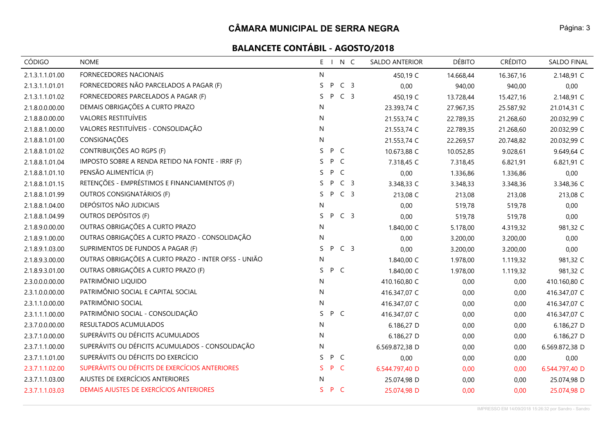| <b>CÓDIGO</b>   | <b>NOME</b>                                          | $E_{\perp}$ |     | N C            | SALDO ANTERIOR | <b>DÉBITO</b> | <b>CRÉDITO</b> | <b>SALDO FINAL</b> |
|-----------------|------------------------------------------------------|-------------|-----|----------------|----------------|---------------|----------------|--------------------|
| 2.1.3.1.1.01.00 | FORNECEDORES NACIONAIS                               | N           |     |                | 450,19 C       | 14.668,44     | 16.367,16      | 2.148,91 C         |
| 2.1.3.1.1.01.01 | FORNECEDORES NÃO PARCELADOS A PAGAR (F)              | S           | P   | C <sub>3</sub> | 0,00           | 940,00        | 940,00         | 0,00               |
| 2.1.3.1.1.01.02 | FORNECEDORES PARCELADOS A PAGAR (F)                  | S.          | P   | C <sub>3</sub> | 450,19 C       | 13.728,44     | 15.427,16      | 2.148,91 C         |
| 2.1.8.0.0.00.00 | DEMAIS OBRIGAÇÕES A CURTO PRAZO                      | N           |     |                | 23.393,74 C    | 27.967,35     | 25.587,92      | 21.014,31 C        |
| 2.1.8.8.0.00.00 | <b>VALORES RESTITUÍVEIS</b>                          | N           |     |                | 21.553,74 C    | 22.789,35     | 21.268,60      | 20.032,99 C        |
| 2.1.8.8.1.00.00 | VALORES RESTITUÍVEIS - CONSOLIDAÇÃO                  | N           |     |                | 21.553,74 C    | 22.789,35     | 21.268,60      | 20.032,99 C        |
| 2.1.8.8.1.01.00 | CONSIGNAÇÕES                                         | N           |     |                | 21.553,74 C    | 22.269,57     | 20.748,82      | 20.032,99 C        |
| 2.1.8.8.1.01.02 | CONTRIBUIÇÕES AO RGPS (F)                            | S           | P C |                | 10.673,88 C    | 10.052,85     | 9.028,61       | 9.649,64 C         |
| 2.1.8.8.1.01.04 | IMPOSTO SOBRE A RENDA RETIDO NA FONTE - IRRF (F)     | S           | P   | $\mathsf{C}$   | 7.318,45 C     | 7.318,45      | 6.821,91       | 6.821,91 C         |
| 2.1.8.8.1.01.10 | PENSÃO ALIMENTÍCIA (F)                               | S.          | P   | $\mathsf{C}$   | 0,00           | 1.336,86      | 1.336,86       | 0,00               |
| 2.1.8.8.1.01.15 | RETENÇÕES - EMPRÉSTIMOS E FINANCIAMENTOS (F)         | S.          | P.  | C <sub>3</sub> | 3.348,33 C     | 3.348,33      | 3.348,36       | 3.348,36 C         |
| 2.1.8.8.1.01.99 | OUTROS CONSIGNATÁRIOS (F)                            | S.          | P   | C <sub>3</sub> | 213,08 C       | 213,08        | 213,08         | 213,08 C           |
| 2.1.8.8.1.04.00 | DEPÓSITOS NÃO JUDICIAIS                              | N           |     |                | 0,00           | 519,78        | 519,78         | 0,00               |
| 2.1.8.8.1.04.99 | OUTROS DEPÓSITOS (F)                                 | S.          | P   | C <sub>3</sub> | 0,00           | 519,78        | 519,78         | 0,00               |
| 2.1.8.9.0.00.00 | OUTRAS OBRIGAÇÕES A CURTO PRAZO                      | N           |     |                | 1.840,00 C     | 5.178,00      | 4.319,32       | 981,32 C           |
| 2.1.8.9.1.00.00 | OUTRAS OBRIGAÇÕES A CURTO PRAZO - CONSOLIDAÇÃO       | N           |     |                | 0,00           | 3.200,00      | 3.200,00       | 0,00               |
| 2.1.8.9.1.03.00 | SUPRIMENTOS DE FUNDOS A PAGAR (F)                    | S.          | P   | C <sub>3</sub> | 0,00           | 3.200,00      | 3.200,00       | 0,00               |
| 2.1.8.9.3.00.00 | OUTRAS OBRIGAÇÕES A CURTO PRAZO - INTER OFSS - UNIÃO | N           |     |                | 1.840,00 C     | 1.978,00      | 1.119,32       | 981,32 C           |
| 2.1.8.9.3.01.00 | OUTRAS OBRIGAÇÕES A CURTO PRAZO (F)                  | S.          | P C |                | 1.840,00 C     | 1.978,00      | 1.119,32       | 981,32 C           |
| 2.3.0.0.0.00.00 | PATRIMÔNIO LIQUIDO                                   | N           |     |                | 410.160,80 C   |               | 0,00<br>0,00   | 410.160,80 C       |
| 2.3.1.0.0.00.00 | PATRIMÔNIO SOCIAL E CAPITAL SOCIAL                   | N           |     |                | 416.347,07 C   |               | 0,00<br>0,00   | 416.347,07 C       |
| 2.3.1.1.0.00.00 | PATRIMÔNIO SOCIAL                                    | N           |     |                | 416.347,07 C   |               | 0,00<br>0,00   | 416.347,07 C       |
| 2.3.1.1.1.00.00 | PATRIMÔNIO SOCIAL - CONSOLIDAÇÃO                     | S.          | P C |                | 416.347,07 C   |               | 0,00<br>0,00   | 416.347,07 C       |
| 2.3.7.0.0.00.00 | RESULTADOS ACUMULADOS                                | N           |     |                | 6.186,27 D     |               | 0,00<br>0,00   | 6.186,27 D         |
| 2.3.7.1.0.00.00 | SUPERÁVITS OU DÉFICITS ACUMULADOS                    | N           |     |                | 6.186,27 D     |               | 0,00<br>0,00   | 6.186,27 D         |
| 2.3.7.1.1.00.00 | SUPERÁVITS OU DÉFICITS ACUMULADOS - CONSOLIDAÇÃO     | N           |     |                | 6.569.872,38 D |               | 0,00<br>0,00   | 6.569.872,38 D     |
| 2.3.7.1.1.01.00 | SUPERÁVITS OU DÉFICITS DO EXERCÍCIO                  | S.          | P C |                | 0,00           |               | 0,00<br>0,00   | 0,00               |
| 2.3.7.1.1.02.00 | SUPERÁVITS OU DÉFICITS DE EXERCÍCIOS ANTERIORES      | S.          | P   | $\mathsf{C}$   | 6.544.797,40 D |               | 0,00<br>0,00   | 6.544.797,40 D     |
| 2.3.7.1.1.03.00 | AJUSTES DE EXERCÍCIOS ANTERIORES                     | N           |     |                | 25.074,98 D    |               | 0,00<br>0,00   | 25.074,98 D        |
| 2.3.7.1.1.03.03 | DEMAIS AJUSTES DE EXERCÍCIOS ANTERIORES              | S P C       |     |                | 25.074,98 D    | 0,00          | 0,00           | 25.074,98 D        |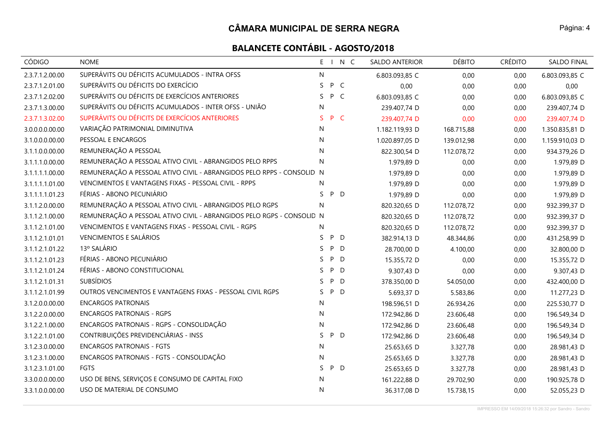| CÓDIGO          | <b>NOME</b>                                                           |    | E I N C | <b>SALDO ANTERIOR</b> |            | <b>DÉBITO</b> | <b>CRÉDITO</b> | SALDO FINAL    |
|-----------------|-----------------------------------------------------------------------|----|---------|-----------------------|------------|---------------|----------------|----------------|
| 2.3.7.1.2.00.00 | SUPERÁVITS OU DÉFICITS ACUMULADOS - INTRA OFSS                        | N  |         | 6.803.093,85 C        |            | 0,00          | 0,00           | 6.803.093,85 C |
| 2.3.7.1.2.01.00 | SUPERÁVITS OU DÉFICITS DO EXERCÍCIO                                   | S  | P C     | 0,00                  |            | 0,00          | 0,00           | 0,00           |
| 2.3.7.1.2.02.00 | SUPERÁVITS OU DÉFICITS DE EXERCÍCIOS ANTERIORES                       | S. | P C     | 6.803.093,85 C        |            | 0,00          | 0,00           | 6.803.093,85 C |
| 2.3.7.1.3.00.00 | SUPERÁVITS OU DÉFICITS ACUMULADOS - INTER OFSS - UNIÃO                | N  |         | 239.407,74 D          |            | 0,00          | 0,00           | 239.407,74 D   |
| 2.3.7.1.3.02.00 | SUPERÁVITS OU DÉFICITS DE EXERCÍCIOS ANTERIORES                       | S. | P C     | 239.407,74 D          |            | 0,00          | 0,00           | 239.407,74 D   |
| 3.0.0.0.0.00.00 | VARIAÇÃO PATRIMONIAL DIMINUTIVA                                       | N  |         | 1.182.119,93 D        |            | 168.715,88    | 0,00           | 1.350.835,81 D |
| 3.1.0.0.0.00.00 | PESSOAL E ENCARGOS                                                    | N  |         | 1.020.897,05 D        | 139.012,98 |               | 0,00           | 1.159.910,03 D |
| 3.1.1.0.0.00.00 | REMUNERAÇÃO A PESSOAL                                                 | N  |         | 822.300,54 D          |            | 112.078,72    | 0,00           | 934.379,26 D   |
| 3.1.1.1.0.00.00 | REMUNERAÇÃO A PESSOAL ATIVO CIVIL - ABRANGIDOS PELO RPPS              | N  |         | 1.979,89 D            |            | 0,00          | 0,00           | 1.979,89 D     |
| 3.1.1.1.1.00.00 | REMUNERAÇÃO A PESSOAL ATIVO CIVIL - ABRANGIDOS PELO RPPS - CONSOLID N |    |         | 1.979,89 D            |            | 0,00          | 0,00           | 1.979,89 D     |
| 3.1.1.1.1.01.00 | VENCIMENTOS E VANTAGENS FIXAS - PESSOAL CIVIL - RPPS                  | N  |         | 1.979,89 D            |            | 0,00          | 0,00           | 1.979,89 D     |
| 3.1.1.1.1.01.23 | FÉRIAS - ABONO PECUNIÁRIO                                             | S. | P D     | 1.979,89 D            |            | 0,00          | 0,00           | 1.979,89 D     |
| 3.1.1.2.0.00.00 | REMUNERAÇÃO A PESSOAL ATIVO CIVIL - ABRANGIDOS PELO RGPS              | N  |         | 820.320,65 D          |            | 112.078,72    | 0,00           | 932.399,37 D   |
| 3.1.1.2.1.00.00 | REMUNERAÇÃO A PESSOAL ATIVO CIVIL - ABRANGIDOS PELO RGPS - CONSOLID N |    |         | 820.320,65 D          |            | 112.078,72    | 0,00           | 932.399,37 D   |
| 3.1.1.2.1.01.00 | VENCIMENTOS E VANTAGENS FIXAS - PESSOAL CIVIL - RGPS                  | N  |         | 820.320,65 D          |            | 112.078,72    | 0,00           | 932.399,37 D   |
| 3.1.1.2.1.01.01 | VENCIMENTOS E SALÁRIOS                                                | S. | P D     | 382.914,13 D          |            | 48.344,86     | 0,00           | 431.258,99 D   |
| 3.1.1.2.1.01.22 | 13º SALÁRIO                                                           | S  | P<br>D  | 28.700,00 D           |            | 4.100,00      | 0,00           | 32.800,00 D    |
| 3.1.1.2.1.01.23 | FÉRIAS - ABONO PECUNIÁRIO                                             | S  | P D     | 15.355,72 D           |            | 0,00          | 0,00           | 15.355,72 D    |
| 3.1.1.2.1.01.24 | FÉRIAS - ABONO CONSTITUCIONAL                                         | S. | P D     | 9.307,43 D            |            | 0,00          | 0,00           | 9.307,43 D     |
| 3.1.1.2.1.01.31 | <b>SUBSÍDIOS</b>                                                      | S. | P<br>D  | 378.350,00 D          |            | 54.050,00     | 0,00           | 432.400,00 D   |
| 3.1.1.2.1.01.99 | OUTROS VENCIMENTOS E VANTAGENS FIXAS - PESSOAL CIVIL RGPS             | S. | P D     | 5.693,37 D            |            | 5.583,86      | 0,00           | 11.277,23 D    |
| 3.1.2.0.0.00.00 | <b>ENCARGOS PATRONAIS</b>                                             | N  |         | 198.596,51 D          |            | 26.934,26     | 0,00           | 225.530,77 D   |
| 3.1.2.2.0.00.00 | <b>ENCARGOS PATRONAIS - RGPS</b>                                      | N  |         | 172.942,86 D          |            | 23.606,48     | 0,00           | 196.549,34 D   |
| 3.1.2.2.1.00.00 | ENCARGOS PATRONAIS - RGPS - CONSOLIDAÇÃO                              | N  |         | 172.942,86 D          |            | 23.606,48     | 0,00           | 196.549,34 D   |
| 3.1.2.2.1.01.00 | CONTRIBUIÇÕES PREVIDENCIÁRIAS - INSS                                  | S  | P D     | 172.942,86 D          |            | 23.606,48     | 0,00           | 196.549,34 D   |
| 3.1.2.3.0.00.00 | <b>ENCARGOS PATRONAIS - FGTS</b>                                      | N  |         | 25.653,65 D           |            | 3.327,78      | 0,00           | 28.981,43 D    |
| 3.1.2.3.1.00.00 | ENCARGOS PATRONAIS - FGTS - CONSOLIDAÇÃO                              | N  |         | 25.653,65 D           |            | 3.327,78      | 0,00           | 28.981,43 D    |
| 3.1.2.3.1.01.00 | <b>FGTS</b>                                                           | S. | P D     | 25.653,65 D           |            | 3.327,78      | 0,00           | 28.981,43 D    |
| 3.3.0.0.0.00.00 | USO DE BENS, SERVIÇOS E CONSUMO DE CAPITAL FIXO                       | N  |         | 161.222,88 D          |            | 29.702,90     | 0,00           | 190.925,78 D   |
| 3.3.1.0.0.00.00 | USO DE MATERIAL DE CONSUMO                                            | N  |         | 36.317,08 D           |            | 15.738,15     | 0,00           | 52.055,23 D    |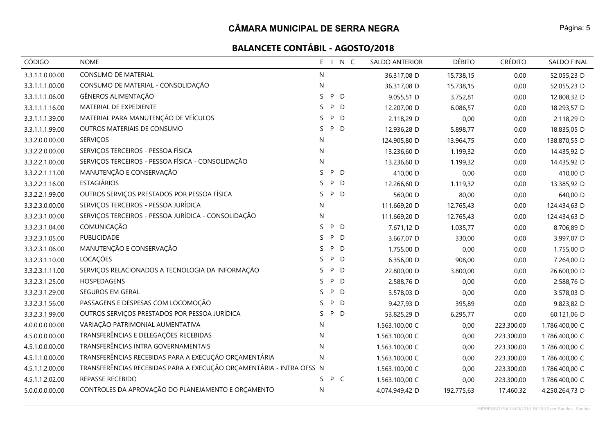| <b>CÓDIGO</b>   | <b>NOME</b>                                                          |         | E I N C | SALDO ANTERIOR | <b>DÉBITO</b> | <b>CRÉDITO</b> | <b>SALDO FINAL</b> |
|-----------------|----------------------------------------------------------------------|---------|---------|----------------|---------------|----------------|--------------------|
| 3.3.1.1.0.00.00 | CONSUMO DE MATERIAL                                                  | N       |         | 36.317,08 D    | 15.738,15     | 0,00           | 52.055,23 D        |
| 3.3.1.1.1.00.00 | CONSUMO DE MATERIAL - CONSOLIDAÇÃO                                   | N       |         | 36.317,08 D    | 15.738,15     | 0,00           | 52.055,23 D        |
| 3.3.1.1.1.06.00 | GÊNEROS ALIMENTAÇÃO                                                  | S       | P D     | 9.055,51 D     | 3.752,81      | 0,00           | 12.808,32 D        |
| 3.3.1.1.1.16.00 | MATERIAL DE EXPEDIENTE                                               | P<br>S  | D       | 12.207,00 D    | 6.086,57      | 0,00           | 18.293,57 D        |
| 3.3.1.1.1.39.00 | MATERIAL PARA MANUTENÇÃO DE VEÍCULOS                                 | S       | P D     | 2.118,29 D     | 0,00          | 0,00           | 2.118,29 D         |
| 3.3.1.1.1.99.00 | OUTROS MATERIAIS DE CONSUMO                                          | S.      | P D     | 12.936,28 D    | 5.898,77      | 0,00           | 18.835,05 D        |
| 3.3.2.0.0.00.00 | SERVIÇOS                                                             | N       |         | 124.905,80 D   | 13.964,75     | 0,00           | 138.870,55 D       |
| 3.3.2.2.0.00.00 | SERVIÇOS TERCEIROS - PESSOA FÍSICA                                   | N       |         | 13.236,60 D    | 1.199,32      | 0,00           | 14.435,92 D        |
| 3.3.2.2.1.00.00 | SERVIÇOS TERCEIROS - PESSOA FÍSICA - CONSOLIDAÇÃO                    | N       |         | 13.236,60 D    | 1.199,32      | 0,00           | 14.435,92 D        |
| 3.3.2.2.1.11.00 | MANUTENÇÃO E CONSERVAÇÃO                                             | S       | P D     | 410,00 D       | 0,00          | 0,00           | 410,00 D           |
| 3.3.2.2.1.16.00 | <b>ESTAGIÁRIOS</b>                                                   | S<br>P  | D       | 12.266,60 D    | 1.119,32      | 0,00           | 13.385,92 D        |
| 3.3.2.2.1.99.00 | OUTROS SERVIÇOS PRESTADOS POR PESSOA FÍSICA                          | S.      | P D     | 560,00 D       | 80,00         | 0,00           | 640,00 D           |
| 3.3.2.3.0.00.00 | SERVIÇOS TERCEIROS - PESSOA JURÍDICA                                 | N       |         | 111.669,20 D   | 12.765,43     | 0,00           | 124.434,63 D       |
| 3.3.2.3.1.00.00 | SERVIÇOS TERCEIROS - PESSOA JURÍDICA - CONSOLIDAÇÃO                  | N       |         | 111.669,20 D   | 12.765,43     | 0,00           | 124.434,63 D       |
| 3.3.2.3.1.04.00 | COMUNICAÇÃO                                                          | S       | P D     | 7.671,12 D     | 1.035,77      | 0,00           | 8.706,89 D         |
| 3.3.2.3.1.05.00 | PUBLICIDADE                                                          | P<br>S. | D       | 3.667,07 D     | 330,00        | 0,00           | 3.997,07 D         |
| 3.3.2.3.1.06.00 | MANUTENÇÃO E CONSERVAÇÃO                                             | S.      | P<br>D  | 1.755,00 D     | 0,00          | 0,00           | 1.755,00 D         |
| 3.3.2.3.1.10.00 | LOCAÇÕES                                                             | S.      | P D     | 6.356,00 D     | 908,00        | 0,00           | 7.264,00 D         |
| 3.3.2.3.1.11.00 | SERVIÇOS RELACIONADOS A TECNOLOGIA DA INFORMAÇÃO                     | S.      | P D     | 22.800,00 D    | 3.800,00      | 0,00           | 26.600,00 D        |
| 3.3.2.3.1.25.00 | HOSPEDAGENS                                                          | P<br>S. | D       | 2.588,76 D     | 0,00          | 0,00           | 2.588,76 D         |
| 3.3.2.3.1.29.00 | SEGUROS EM GERAL                                                     | S.      | P D     | 3.578,03 D     | 0,00          | 0,00           | 3.578,03 D         |
| 3.3.2.3.1.56.00 | PASSAGENS E DESPESAS COM LOCOMOÇÃO                                   | S.<br>P | D       | 9.427,93 D     | 395,89        | 0,00           | 9.823,82 D         |
| 3.3.2.3.1.99.00 | OUTROS SERVIÇOS PRESTADOS POR PESSOA JURÍDICA                        | S.      | P D     | 53.825,29 D    | 6.295,77      | 0,00           | 60.121,06 D        |
| 4.0.0.0.0.00.00 | VARIAÇÃO PATRIMONIAL AUMENTATIVA                                     | N       |         | 1.563.100,00 C | 0,00          | 223.300,00     | 1.786.400,00 C     |
| 4.5.0.0.0.00.00 | TRANSFERÊNCIAS E DELEGAÇÕES RECEBIDAS                                | N       |         | 1.563.100,00 C | 0,00          | 223.300,00     | 1.786.400,00 C     |
| 4.5.1.0.0.00.00 | TRANSFERÊNCIAS INTRA GOVERNAMENTAIS                                  | N       |         | 1.563.100,00 C | 0,00          | 223.300,00     | 1.786.400,00 C     |
| 4.5.1.1.0.00.00 | TRANSFERÊNCIAS RECEBIDAS PARA A EXECUÇÃO ORÇAMENTÁRIA                | N       |         | 1.563.100,00 C | 0,00          | 223.300,00     | 1.786.400,00 C     |
| 4.5.1.1.2.00.00 | TRANSFERÊNCIAS RECEBIDAS PARA A EXECUÇÃO ORÇAMENTÁRIA - INTRA OFSS N |         |         | 1.563.100,00 C | 0,00          | 223.300,00     | 1.786.400,00 C     |
| 4.5.1.1.2.02.00 | REPASSE RECEBIDO                                                     | S.      | P C     | 1.563.100,00 C | 0,00          | 223.300,00     | 1.786.400,00 C     |
| 5.0.0.0.0.00.00 | CONTROLES DA APROVAÇÃO DO PLANEJAMENTO E ORÇAMENTO                   | N       |         | 4.074.949,42 D | 192.775,63    | 17.460,32      | 4.250.264,73 D     |

Página: 5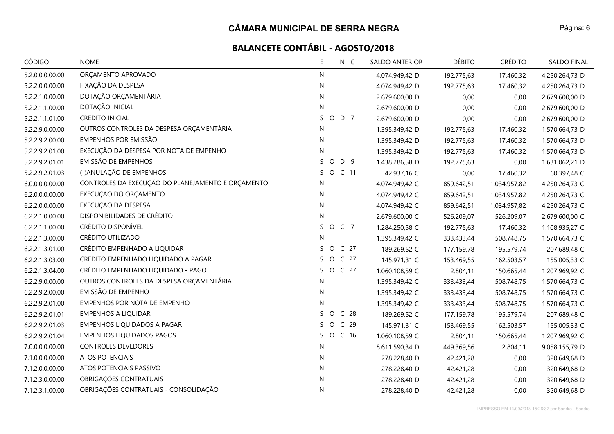| CÓDIGO          | <b>NOME</b>                                       | E I N C                          | SALDO ANTERIOR | <b>DÉBITO</b> | <b>CRÉDITO</b> | <b>SALDO FINAL</b> |
|-----------------|---------------------------------------------------|----------------------------------|----------------|---------------|----------------|--------------------|
| 5.2.0.0.0.00.00 | ORÇAMENTO APROVADO                                | N                                | 4.074.949,42 D | 192.775,63    | 17.460,32      | 4.250.264,73 D     |
| 5.2.2.0.0.00.00 | FIXAÇÃO DA DESPESA                                | N                                | 4.074.949,42 D | 192.775,63    | 17.460,32      | 4.250.264,73 D     |
| 5.2.2.1.0.00.00 | DOTAÇÃO ORÇAMENTÁRIA                              | N                                | 2.679.600,00 D | 0,00          | 0,00           | 2.679.600,00 D     |
| 5.2.2.1.1.00.00 | DOTAÇÃO INICIAL                                   | N                                | 2.679.600,00 D | 0,00          | 0,00           | 2.679.600,00 D     |
| 5.2.2.1.1.01.00 | CRÉDITO INICIAL                                   | O D 7<br>S.                      | 2.679.600,00 D | 0,00          | 0,00           | 2.679.600,00 D     |
| 5.2.2.9.0.00.00 | OUTROS CONTROLES DA DESPESA ORÇAMENTÁRIA          | N                                | 1.395.349,42 D | 192.775,63    | 17.460,32      | 1.570.664,73 D     |
| 5.2.2.9.2.00.00 | <b>EMPENHOS POR EMISSÃO</b>                       | N                                | 1.395.349,42 D | 192.775,63    | 17.460,32      | 1.570.664,73 D     |
| 5.2.2.9.2.01.00 | EXECUÇÃO DA DESPESA POR NOTA DE EMPENHO           | N                                | 1.395.349,42 D | 192.775,63    | 17.460,32      | 1.570.664,73 D     |
| 5.2.2.9.2.01.01 | EMISSÃO DE EMPENHOS                               | S.<br>O D 9                      | 1.438.286,58 D | 192.775,63    | 0,00           | 1.631.062,21 D     |
| 5.2.2.9.2.01.03 | (-)ANULAÇÃO DE EMPENHOS                           | S.<br>O C 11                     | 42.937,16 C    | 0,00          | 17.460,32      | 60.397,48 C        |
| 6.0.0.0.0.00.00 | CONTROLES DA EXECUÇÃO DO PLANEJAMENTO E ORÇAMENTO | N                                | 4.074.949,42 C | 859.642,51    | 1.034.957,82   | 4.250.264,73 C     |
| 6.2.0.0.0.00.00 | EXECUÇÃO DO ORÇAMENTO                             | N                                | 4.074.949,42 C | 859.642,51    | 1.034.957,82   | 4.250.264,73 C     |
| 6.2.2.0.0.00.00 | EXECUÇÃO DA DESPESA                               | N                                | 4.074.949,42 C | 859.642,51    | 1.034.957,82   | 4.250.264,73 C     |
| 6.2.2.1.0.00.00 | DISPONIBILIDADES DE CRÉDITO                       | N                                | 2.679.600,00 C | 526.209,07    | 526.209,07     | 2.679.600,00 C     |
| 6.2.2.1.1.00.00 | CRÉDITO DISPONÍVEL                                | O C 7<br>S.                      | 1.284.250,58 C | 192.775,63    | 17.460,32      | 1.108.935,27 C     |
| 6.2.2.1.3.00.00 | CRÉDITO UTILIZADO                                 | N                                | 1.395.349,42 C | 333.433,44    | 508.748,75     | 1.570.664,73 C     |
| 6.2.2.1.3.01.00 | CRÉDITO EMPENHADO A LIQUIDAR                      | O C 27<br>S.                     | 189.269,52 C   | 177.159,78    | 195.579,74     | 207.689,48 C       |
| 6.2.2.1.3.03.00 | CRÉDITO EMPENHADO LIQUIDADO A PAGAR               | O C 27<br>S.                     | 145.971,31 C   | 153.469,55    | 162.503,57     | 155.005,33 C       |
| 6.2.2.1.3.04.00 | CRÉDITO EMPENHADO LIQUIDADO - PAGO                | O C 27<br>S.                     | 1.060.108,59 C | 2.804,11      | 150.665,44     | 1.207.969,92 C     |
| 6.2.2.9.0.00.00 | OUTROS CONTROLES DA DESPESA ORÇAMENTÁRIA          | N                                | 1.395.349,42 C | 333.433,44    | 508.748,75     | 1.570.664,73 C     |
| 6.2.2.9.2.00.00 | EMISSÃO DE EMPENHO                                | N                                | 1.395.349,42 C | 333.433,44    | 508.748,75     | 1.570.664,73 C     |
| 6.2.2.9.2.01.00 | EMPENHOS POR NOTA DE EMPENHO                      | N                                | 1.395.349,42 C | 333.433,44    | 508.748,75     | 1.570.664,73 C     |
| 6.2.2.9.2.01.01 | <b>EMPENHOS A LIQUIDAR</b>                        | C <sub>28</sub><br>S.<br>$\circ$ | 189.269,52 C   | 177.159,78    | 195.579,74     | 207.689,48 C       |
| 6.2.2.9.2.01.03 | EMPENHOS LIQUIDADOS A PAGAR                       | O C 29<br>S.                     | 145.971,31 C   | 153.469,55    | 162.503,57     | 155.005,33 C       |
| 6.2.2.9.2.01.04 | <b>EMPENHOS LIQUIDADOS PAGOS</b>                  | O C 16<br>S.                     | 1.060.108,59 C | 2.804,11      | 150.665,44     | 1.207.969,92 C     |
| 7.0.0.0.0.00.00 | <b>CONTROLES DEVEDORES</b>                        | N                                | 8.611.590,34 D | 449.369,56    | 2.804,11       | 9.058.155,79 D     |
| 7.1.0.0.0.00.00 | ATOS POTENCIAIS                                   | N                                | 278.228,40 D   | 42.421,28     | 0,00           | 320.649,68 D       |
| 7.1.2.0.0.00.00 | ATOS POTENCIAIS PASSIVO                           | N                                | 278.228,40 D   | 42.421,28     | 0,00           | 320.649,68 D       |
| 7.1.2.3.0.00.00 | OBRIGAÇÕES CONTRATUAIS                            | N                                | 278.228,40 D   | 42.421,28     | 0,00           | 320.649,68 D       |
| 7.1.2.3.1.00.00 | OBRIGAÇÕES CONTRATUAIS - CONSOLIDAÇÃO             | N                                | 278.228,40 D   | 42.421,28     | 0,00           | 320.649,68 D       |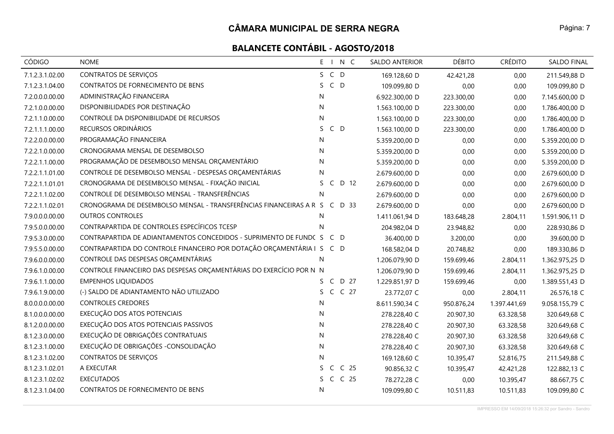| CÓDIGO          | <b>NOME</b>                                                               | E I N C                               | <b>SALDO ANTERIOR</b> | <b>DÉBITO</b> | <b>CRÉDITO</b> | SALDO FINAL    |
|-----------------|---------------------------------------------------------------------------|---------------------------------------|-----------------------|---------------|----------------|----------------|
| 7.1.2.3.1.02.00 | CONTRATOS DE SERVIÇOS                                                     | S C D                                 | 169.128,60 D          | 42.421,28     | 0,00           | 211.549,88 D   |
| 7.1.2.3.1.04.00 | CONTRATOS DE FORNECIMENTO DE BENS                                         | $C$ D<br>S.                           | 109.099,80 D          | 0,00          | 0,00           | 109.099,80 D   |
| 7.2.0.0.0.00.00 | ADMINISTRAÇÃO FINANCEIRA                                                  | N                                     | 6.922.300,00 D        | 223.300,00    | 0,00           | 7.145.600,00 D |
| 7.2.1.0.0.00.00 | DISPONIBILIDADES POR DESTINAÇÃO                                           | N                                     | 1.563.100,00 D        | 223.300,00    | 0,00           | 1.786.400,00 D |
| 7.2.1.1.0.00.00 | CONTROLE DA DISPONIBILIDADE DE RECURSOS                                   | $\mathsf{N}$                          | 1.563.100,00 D        | 223.300,00    | 0,00           | 1.786.400,00 D |
| 7.2.1.1.1.00.00 | RECURSOS ORDINÁRIOS                                                       | $C$ D<br>S.                           | 1.563.100,00 D        | 223.300,00    | 0,00           | 1.786.400,00 D |
| 7.2.2.0.0.00.00 | PROGRAMAÇÃO FINANCEIRA                                                    | N                                     | 5.359.200,00 D        | 0,00          | 0,00           | 5.359.200,00 D |
| 7.2.2.1.0.00.00 | CRONOGRAMA MENSAL DE DESEMBOLSO                                           | N                                     | 5.359.200,00 D        | 0,00          | 0,00           | 5.359.200,00 D |
| 7.2.2.1.1.00.00 | PROGRAMAÇÃO DE DESEMBOLSO MENSAL ORÇAMENTÁRIO                             | N                                     | 5.359.200,00 D        | 0,00          | 0,00           | 5.359.200,00 D |
| 7.2.2.1.1.01.00 | CONTROLE DE DESEMBOLSO MENSAL - DESPESAS ORÇAMENTÁRIAS                    | N                                     | 2.679.600,00 D        | 0,00          | 0,00           | 2.679.600,00 D |
| 7.2.2.1.1.01.01 | CRONOGRAMA DE DESEMBOLSO MENSAL - FIXAÇÃO INICIAL                         | C D 12<br>S.                          | 2.679.600,00 D        | 0,00          | 0,00           | 2.679.600,00 D |
| 7.2.2.1.1.02.00 | CONTROLE DE DESEMBOLSO MENSAL - TRANSFERÊNCIAS                            | N                                     | 2.679.600,00 D        | 0,00          | 0,00           | 2.679.600,00 D |
| 7.2.2.1.1.02.01 | CRONOGRAMA DE DESEMBOLSO MENSAL - TRANSFERÊNCIAS FINANCEIRAS A R S C D 33 |                                       | 2.679.600,00 D        | 0,00          | 0,00           | 2.679.600,00 D |
| 7.9.0.0.0.00.00 | <b>OUTROS CONTROLES</b>                                                   | N                                     | 1.411.061,94 D        | 183.648,28    | 2.804,11       | 1.591.906,11 D |
| 7.9.5.0.0.00.00 | CONTRAPARTIDA DE CONTROLES ESPECÍFICOS TCESP                              | $\mathsf{N}$                          | 204.982,04 D          | 23.948,82     | 0,00           | 228.930,86 D   |
| 7.9.5.3.0.00.00 | CONTRAPARTIDA DE ADIANTAMENTOS CONCEDIDOS - SUPRIMENTO DE FUNDC S C D     |                                       | 36.400,00 D           | 3.200,00      | 0,00           | 39.600,00 D    |
| 7.9.5.5.0.00.00 | CONTRAPARTIDA DO CONTROLE FINANCEIRO POR DOTAÇÃO ORÇAMENTÁRIA I S C D     |                                       | 168.582,04 D          | 20.748,82     | 0,00           | 189.330,86 D   |
| 7.9.6.0.0.00.00 | CONTROLE DAS DESPESAS ORÇAMENTÁRIAS                                       | N                                     | 1.206.079,90 D        | 159.699,46    | 2.804,11       | 1.362.975,25 D |
| 7.9.6.1.0.00.00 | CONTROLE FINANCEIRO DAS DESPESAS ORÇAMENTÁRIAS DO EXERCÍCIO POR N N       |                                       | 1.206.079,90 D        | 159.699,46    | 2.804,11       | 1.362.975,25 D |
| 7.9.6.1.1.00.00 | <b>EMPENHOS LIQUIDADOS</b>                                                | S C D 27                              | 1.229.851,97 D        | 159.699,46    | 0,00           | 1.389.551,43 D |
| 7.9.6.1.9.00.00 | (-) SALDO DE ADIANTAMENTO NÃO UTILIZADO                                   | S C C 27                              | 23.772,07 C           | 0,00          | 2.804,11       | 26.576,18 C    |
| 8.0.0.0.0.00.00 | <b>CONTROLES CREDORES</b>                                                 | N                                     | 8.611.590,34 C        | 950.876,24    | 1.397.441,69   | 9.058.155,79 C |
| 8.1.0.0.0.00.00 | EXECUÇÃO DOS ATOS POTENCIAIS                                              | N                                     | 278.228,40 C          | 20.907,30     | 63.328,58      | 320.649,68 C   |
| 8.1.2.0.0.00.00 | EXECUÇÃO DOS ATOS POTENCIAIS PASSIVOS                                     | N.                                    | 278.228,40 C          | 20.907,30     | 63.328,58      | 320.649,68 C   |
| 8.1.2.3.0.00.00 | EXECUÇÃO DE OBRIGAÇÕES CONTRATUAIS                                        | N                                     | 278.228,40 C          | 20.907,30     | 63.328,58      | 320.649,68 C   |
| 8.1.2.3.1.00.00 | EXECUÇÃO DE OBRIGAÇÕES - CONSOLIDAÇÃO                                     | N                                     | 278.228,40 C          | 20.907,30     | 63.328,58      | 320.649,68 C   |
| 8.1.2.3.1.02.00 | CONTRATOS DE SERVIÇOS                                                     | N                                     | 169.128,60 C          | 10.395,47     | 52.816,75      | 211.549,88 C   |
| 8.1.2.3.1.02.01 | A EXECUTAR                                                                | C <sub>25</sub><br>S.<br>$\mathsf{C}$ | 90.856,32 C           | 10.395,47     | 42.421,28      | 122.882,13 C   |
| 8.1.2.3.1.02.02 | <b>EXECUTADOS</b>                                                         | S C C 25                              | 78.272,28 C           | 0,00          | 10.395,47      | 88.667,75 C    |
| 8.1.2.3.1.04.00 | CONTRATOS DE FORNECIMENTO DE BENS                                         | N                                     | 109.099,80 C          | 10.511,83     | 10.511,83      | 109.099,80 C   |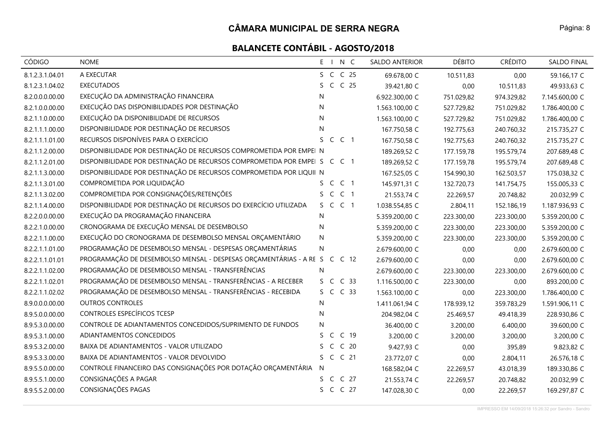| <b>CÓDIGO</b>   | <b>NOME</b>                                                               | E I N C                               | <b>SALDO ANTERIOR</b> | <b>DÉBITO</b> | <b>CRÉDITO</b> | <b>SALDO FINAL</b> |
|-----------------|---------------------------------------------------------------------------|---------------------------------------|-----------------------|---------------|----------------|--------------------|
| 8.1.2.3.1.04.01 | A EXECUTAR                                                                | S C C 25                              | 69.678,00 C           | 10.511,83     | 0,00           | 59.166,17 C        |
| 8.1.2.3.1.04.02 | <b>EXECUTADOS</b>                                                         | C C 25<br>S.                          | 39.421,80 C           | 0,00          | 10.511,83      | 49.933,63 C        |
| 8.2.0.0.0.00.00 | EXECUÇÃO DA ADMINISTRAÇÃO FINANCEIRA                                      | N                                     | 6.922.300,00 C        | 751.029,82    | 974.329,82     | 7.145.600,00 C     |
| 8.2.1.0.0.00.00 | EXECUÇÃO DAS DISPONIBILIDADES POR DESTINAÇÃO                              | N                                     | 1.563.100,00 C        | 527.729,82    | 751.029,82     | 1.786.400,00 C     |
| 8.2.1.1.0.00.00 | EXECUÇÃO DA DISPONIBILIDADE DE RECURSOS                                   | N                                     | 1.563.100,00 C        | 527.729,82    | 751.029,82     | 1.786.400,00 C     |
| 8.2.1.1.1.00.00 | DISPONIBILIDADE POR DESTINAÇÃO DE RECURSOS                                | N                                     | 167.750,58 C          | 192.775,63    | 240.760,32     | 215.735,27 C       |
| 8.2.1.1.1.01.00 | RECURSOS DISPONÍVEIS PARA O EXERCÍCIO                                     | S C C 1                               | 167.750,58 C          | 192.775,63    | 240.760,32     | 215.735,27 C       |
| 8.2.1.1.2.00.00 | DISPONIBILIDADE POR DESTINAÇÃO DE RECURSOS COMPROMETIDA POR EMPEI N       |                                       | 189.269,52 C          | 177.159,78    | 195.579,74     | 207.689,48 C       |
| 8.2.1.1.2.01.00 | DISPONIBILIDADE POR DESTINAÇÃO DE RECURSOS COMPROMETIDA POR EMPEI S C C 1 |                                       | 189.269,52 C          | 177.159,78    | 195.579,74     | 207.689,48 C       |
| 8.2.1.1.3.00.00 | DISPONIBILIDADE POR DESTINAÇÃO DE RECURSOS COMPROMETIDA POR LIQUII N      |                                       | 167.525,05 C          | 154.990,30    | 162.503,57     | 175.038,32 C       |
| 8.2.1.1.3.01.00 | COMPROMETIDA POR LIQUIDAÇÃO                                               | S C C 1                               | 145.971,31 C          | 132.720,73    | 141.754,75     | 155.005,33 C       |
| 8.2.1.1.3.02.00 | COMPROMETIDA POR CONSIGNAÇÕES/RETENÇÕES                                   | S C C 1                               | 21.553,74 C           | 22.269,57     | 20.748,82      | 20.032,99 C        |
| 8.2.1.1.4.00.00 | DISPONIBILIDADE POR DESTINAÇÃO DE RECURSOS DO EXERCÍCIO UTILIZADA         | S C C 1                               | 1.038.554,85 C        | 2.804,11      | 152.186,19     | 1.187.936,93 C     |
| 8.2.2.0.0.00.00 | EXECUÇÃO DA PROGRAMAÇÃO FINANCEIRA                                        | N                                     | 5.359.200,00 C        | 223.300,00    | 223.300,00     | 5.359.200,00 C     |
| 8.2.2.1.0.00.00 | CRONOGRAMA DE EXECUÇÃO MENSAL DE DESEMBOLSO                               | N                                     | 5.359.200,00 C        | 223.300,00    | 223.300,00     | 5.359.200,00 C     |
| 8.2.2.1.1.00.00 | EXECUÇÃO DO CRONOGRAMA DE DESEMBOLSO MENSAL ORÇAMENTÁRIO                  | N                                     | 5.359.200,00 C        | 223.300,00    | 223.300,00     | 5.359.200,00 C     |
| 8.2.2.1.1.01.00 | PROGRAMAÇÃO DE DESEMBOLSO MENSAL - DESPESAS ORÇAMENTÁRIAS                 | N                                     | 2.679.600,00 C        | 0,00          | 0,00           | 2.679.600,00 C     |
| 8.2.2.1.1.01.01 | PROGRAMAÇÃO DE DESEMBOLSO MENSAL - DESPESAS ORÇAMENTÁRIAS - A RE S C C 12 |                                       | 2.679.600,00 C        | 0,00          | 0,00           | 2.679.600,00 C     |
| 8.2.2.1.1.02.00 | PROGRAMAÇÃO DE DESEMBOLSO MENSAL - TRANSFERÊNCIAS                         | N.                                    | 2.679.600,00 C        | 223.300,00    | 223.300,00     | 2.679.600,00 C     |
| 8.2.2.1.1.02.01 | PROGRAMAÇÃO DE DESEMBOLSO MENSAL - TRANSFERÊNCIAS - A RECEBER             | S C C 33                              | 1.116.500,00 C        | 223.300,00    | 0,00           | 893.200,00 C       |
| 8.2.2.1.1.02.02 | PROGRAMAÇÃO DE DESEMBOLSO MENSAL - TRANSFERÊNCIAS - RECEBIDA              | S C C 33                              | 1.563.100,00 C        | 0,00          | 223.300,00     | 1.786.400,00 C     |
| 8.9.0.0.0.00.00 | <b>OUTROS CONTROLES</b>                                                   | N.                                    | 1.411.061,94 C        | 178.939,12    | 359.783,29     | 1.591.906,11 C     |
| 8.9.5.0.0.00.00 | CONTROLES ESPECÍFICOS TCESP                                               | N                                     | 204.982,04 C          | 25.469,57     | 49.418,39      | 228.930,86 C       |
| 8.9.5.3.0.00.00 | CONTROLE DE ADIANTAMENTOS CONCEDIDOS/SUPRIMENTO DE FUNDOS                 | N                                     | 36.400,00 C           | 3.200,00      | 6.400,00       | 39.600,00 C        |
| 8.9.5.3.1.00.00 | ADIANTAMENTOS CONCEDIDOS                                                  | S C C 19                              | 3.200,00 C            | 3.200,00      | 3.200,00       | 3.200,00 C         |
| 8.9.5.3.2.00.00 | BAIXA DE ADIANTAMENTOS - VALOR UTILIZADO                                  | C <sub>20</sub><br>$\mathsf{C}$<br>S. | 9.427,93 C            | 0,00          | 395,89         | 9.823,82 C         |
| 8.9.5.3.3.00.00 | BAIXA DE ADIANTAMENTOS - VALOR DEVOLVIDO                                  | S C C 21                              | 23.772,07 C           | 0,00          | 2.804,11       | 26.576,18 C        |
| 8.9.5.5.0.00.00 | CONTROLE FINANCEIRO DAS CONSIGNAÇÕES POR DOTAÇÃO ORÇAMENTÁRIA             | N                                     | 168.582,04 C          | 22.269,57     | 43.018,39      | 189.330,86 C       |
| 8.9.5.5.1.00.00 | CONSIGNAÇÕES A PAGAR                                                      | S C C 27                              | 21.553,74 C           | 22.269,57     | 20.748,82      | 20.032,99 C        |
| 8.9.5.5.2.00.00 | CONSIGNAÇÕES PAGAS                                                        | S C C 27                              | 147.028,30 C          | 0,00          | 22.269,57      | 169.297,87 C       |